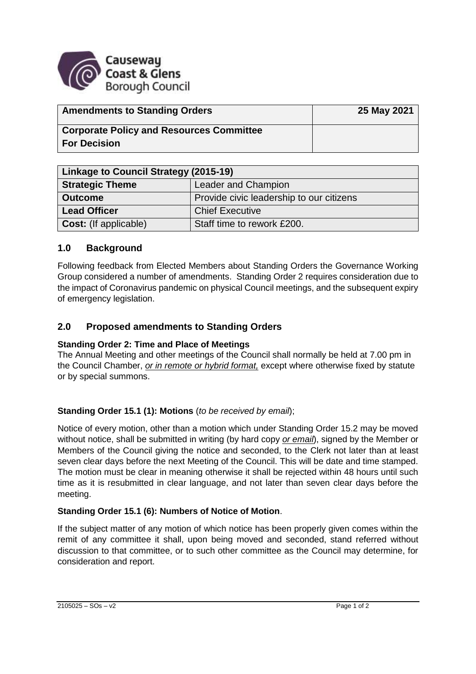

| <b>Amendments to Standing Orders</b>            | 25 May 2021 |
|-------------------------------------------------|-------------|
| <b>Corporate Policy and Resources Committee</b> |             |
| <b>For Decision</b>                             |             |

| Linkage to Council Strategy (2015-19) |                                          |
|---------------------------------------|------------------------------------------|
| <b>Strategic Theme</b>                | <b>Leader and Champion</b>               |
| <b>Outcome</b>                        | Provide civic leadership to our citizens |
| <b>Lead Officer</b>                   | <b>Chief Executive</b>                   |
| <b>Cost:</b> (If applicable)          | Staff time to rework £200.               |

# **1.0 Background**

Following feedback from Elected Members about Standing Orders the Governance Working Group considered a number of amendments. Standing Order 2 requires consideration due to the impact of Coronavirus pandemic on physical Council meetings, and the subsequent expiry of emergency legislation.

# **2.0 Proposed amendments to Standing Orders**

### **Standing Order 2: Time and Place of Meetings**

The Annual Meeting and other meetings of the Council shall normally be held at 7.00 pm in the Council Chamber, *or in remote or hybrid format,* except where otherwise fixed by statute or by special summons.

### **Standing Order 15.1 (1): Motions** (*to be received by email*);

Notice of every motion, other than a motion which under Standing Order 15.2 may be moved without notice, shall be submitted in writing (by hard copy *or email*), signed by the Member or Members of the Council giving the notice and seconded, to the Clerk not later than at least seven clear days before the next Meeting of the Council. This will be date and time stamped. The motion must be clear in meaning otherwise it shall be rejected within 48 hours until such time as it is resubmitted in clear language, and not later than seven clear days before the meeting.

#### **Standing Order 15.1 (6): Numbers of Notice of Motion**.

If the subject matter of any motion of which notice has been properly given comes within the remit of any committee it shall, upon being moved and seconded, stand referred without discussion to that committee, or to such other committee as the Council may determine, for consideration and report.